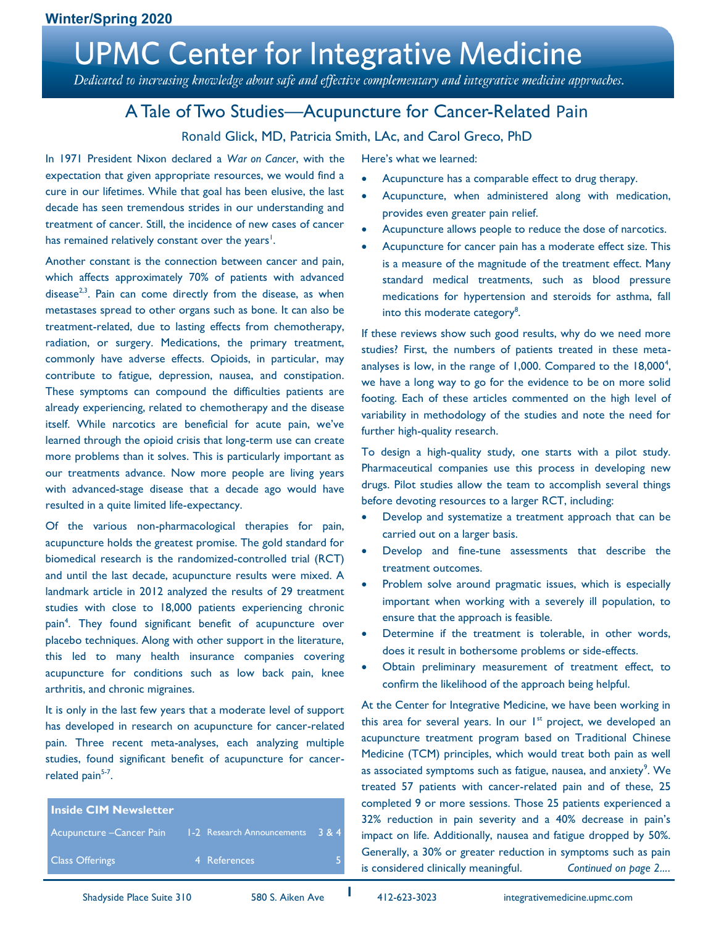Dedicated to increasing knowledge about safe and effective complementary and integrative medicine approaches.

### A Tale of Two Studies—Acupuncture for Cancer-Related Pain

#### Ronald Glick, MD, Patricia Smith, LAc, and Carol Greco, PhD

In 1971 President Nixon declared a *War on Cancer*, with the expectation that given appropriate resources, we would find a cure in our lifetimes. While that goal has been elusive, the last decade has seen tremendous strides in our understanding and treatment of cancer. Still, the incidence of new cases of cancer has remained relatively constant over the years<sup>1</sup>.

Another constant is the connection between cancer and pain, which affects approximately 70% of patients with advanced disease<sup>2,3</sup>. Pain can come directly from the disease, as when metastases spread to other organs such as bone. It can also be treatment-related, due to lasting effects from chemotherapy, radiation, or surgery. Medications, the primary treatment, commonly have adverse effects. Opioids, in particular, may contribute to fatigue, depression, nausea, and constipation. These symptoms can compound the difficulties patients are already experiencing, related to chemotherapy and the disease itself. While narcotics are beneficial for acute pain, we've learned through the opioid crisis that long-term use can create more problems than it solves. This is particularly important as our treatments advance. Now more people are living years with advanced-stage disease that a decade ago would have resulted in a quite limited life-expectancy.

Of the various non-pharmacological therapies for pain, acupuncture holds the greatest promise. The gold standard for biomedical research is the randomized-controlled trial (RCT) and until the last decade, acupuncture results were mixed. A landmark article in 2012 analyzed the results of 29 treatment studies with close to 18,000 patients experiencing chronic pain<sup>4</sup>. They found significant benefit of acupuncture over placebo techniques. Along with other support in the literature, this led to many health insurance companies covering acupuncture for conditions such as low back pain, knee arthritis, and chronic migraines.

It is only in the last few years that a moderate level of support has developed in research on acupuncture for cancer-related pain. Three recent meta-analyses, each analyzing multiple studies, found significant benefit of acupuncture for cancerrelated pain<sup>5-7</sup>.

| <b>I Inside CIM Newsletter</b>                             |              |  |
|------------------------------------------------------------|--------------|--|
| Acupuncture – Cancer Pain 1-2 Research Announcements 3 & 4 |              |  |
| <b>Class Offerings</b>                                     | 4 References |  |

Here's what we learned:

- Acupuncture has a comparable effect to drug therapy.
- Acupuncture, when administered along with medication, provides even greater pain relief.
- Acupuncture allows people to reduce the dose of narcotics.
- Acupuncture for cancer pain has a moderate effect size. This is a measure of the magnitude of the treatment effect. Many standard medical treatments, such as blood pressure medications for hypertension and steroids for asthma, fall into this moderate category<sup>8</sup>.

If these reviews show such good results, why do we need more studies? First, the numbers of patients treated in these metaanalyses is low, in the range of 1,000. Compared to the  $18,000^4$ , we have a long way to go for the evidence to be on more solid footing. Each of these articles commented on the high level of variability in methodology of the studies and note the need for further high-quality research.

To design a high-quality study, one starts with a pilot study. Pharmaceutical companies use this process in developing new drugs. Pilot studies allow the team to accomplish several things before devoting resources to a larger RCT, including:

- Develop and systematize a treatment approach that can be carried out on a larger basis.
- Develop and fine-tune assessments that describe the treatment outcomes.
- Problem solve around pragmatic issues, which is especially important when working with a severely ill population, to ensure that the approach is feasible.
- Determine if the treatment is tolerable, in other words, does it result in bothersome problems or side-effects.
- Obtain preliminary measurement of treatment effect, to confirm the likelihood of the approach being helpful.

At the Center for Integrative Medicine, we have been working in this area for several years. In our  $I<sup>st</sup>$  project, we developed an acupuncture treatment program based on Traditional Chinese Medicine (TCM) principles, which would treat both pain as well as associated symptoms such as fatigue, nausea, and anxiety $^9$ . We treated 57 patients with cancer-related pain and of these, 25 completed 9 or more sessions. Those 25 patients experienced a 32% reduction in pain severity and a 40% decrease in pain's impact on life. Additionally, nausea and fatigue dropped by 50%. Generally, a 30% or greater reduction in symptoms such as pain is considered clinically meaningful. *Continued on page 2….*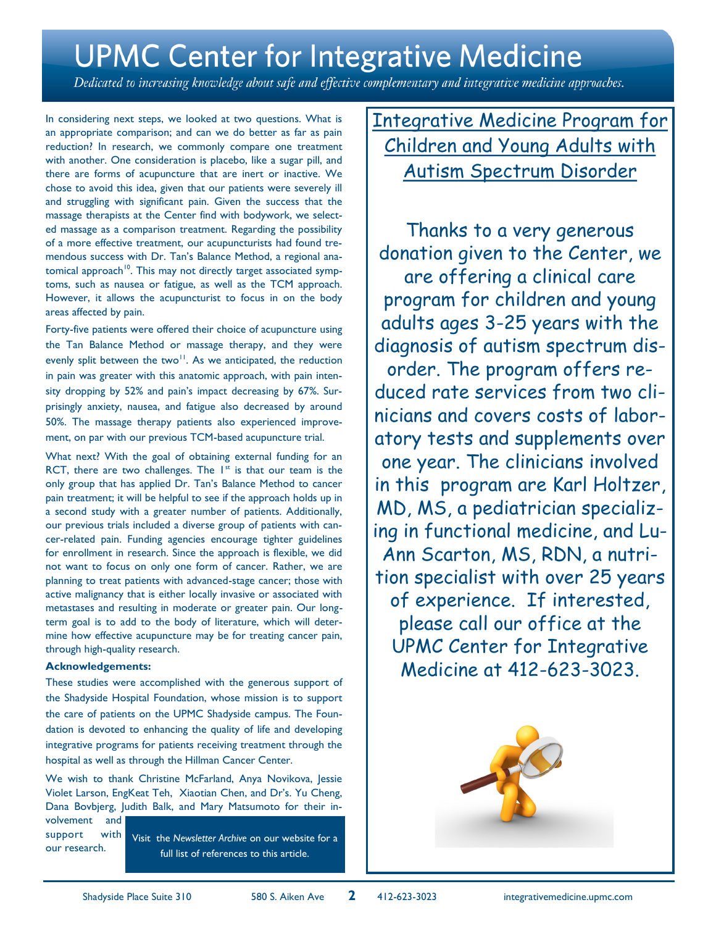Dedicated to increasing knowledge about safe and effective complementary and integrative medicine approaches.

In considering next steps, we looked at two questions. What is an appropriate comparison; and can we do better as far as pain reduction? In research, we commonly compare one treatment with another. One consideration is placebo, like a sugar pill, and there are forms of acupuncture that are inert or inactive. We chose to avoid this idea, given that our patients were severely ill and struggling with significant pain. Given the success that the massage therapists at the Center find with bodywork, we selected massage as a comparison treatment. Regarding the possibility of a more effective treatment, our acupuncturists had found tremendous success with Dr. Tan's Balance Method, a regional anatomical approach<sup>10</sup>. This may not directly target associated symptoms, such as nausea or fatigue, as well as the TCM approach. However, it allows the acupuncturist to focus in on the body areas affected by pain.

Forty-five patients were offered their choice of acupuncture using the Tan Balance Method or massage therapy, and they were evenly split between the two<sup>11</sup>. As we anticipated, the reduction in pain was greater with this anatomic approach, with pain intensity dropping by 52% and pain's impact decreasing by 67%. Surprisingly anxiety, nausea, and fatigue also decreased by around 50%. The massage therapy patients also experienced improvement, on par with our previous TCM-based acupuncture trial.

What next? With the goal of obtaining external funding for an RCT, there are two challenges. The  $1^{st}$  is that our team is the only group that has applied Dr. Tan's Balance Method to cancer pain treatment; it will be helpful to see if the approach holds up in a second study with a greater number of patients. Additionally, our previous trials included a diverse group of patients with cancer-related pain. Funding agencies encourage tighter guidelines for enrollment in research. Since the approach is flexible, we did not want to focus on only one form of cancer. Rather, we are planning to treat patients with advanced-stage cancer; those with active malignancy that is either locally invasive or associated with metastases and resulting in moderate or greater pain. Our longterm goal is to add to the body of literature, which will determine how effective acupuncture may be for treating cancer pain, through high-quality research.

#### **Acknowledgements:**

These studies were accomplished with the generous support of the Shadyside Hospital Foundation, whose mission is to support the care of patients on the UPMC Shadyside campus. The Foundation is devoted to enhancing the quality of life and developing integrative programs for patients receiving treatment through the hospital as well as through the Hillman Cancer Center.

We wish to thank Christine McFarland, Anya Novikova, Jessie Violet Larson, EngKeat Teh, Xiaotian Chen, and Dr's. Yu Cheng, Dana Bovbjerg, Judith Balk, and Mary Matsumoto for their in-

volvement and support with our research.

Visit the *Newsletter Archive* on our website for a full list of references to this article.

Integrative Medicine Program for Children and Young Adults with Autism Spectrum Disorder

Thanks to a very generous donation given to the Center, we are offering a clinical care program for children and young adults ages 3-25 years with the diagnosis of autism spectrum disorder. The program offers reduced rate services from two clinicians and covers costs of laboratory tests and supplements over one year. The clinicians involved in this program are Karl Holtzer, MD, MS, a pediatrician specializing in functional medicine, and Lu-Ann Scarton, MS, RDN, a nutrition specialist with over 25 years of experience. If interested, please call our office at the UPMC Center for Integrative Medicine at 412-623-3023.

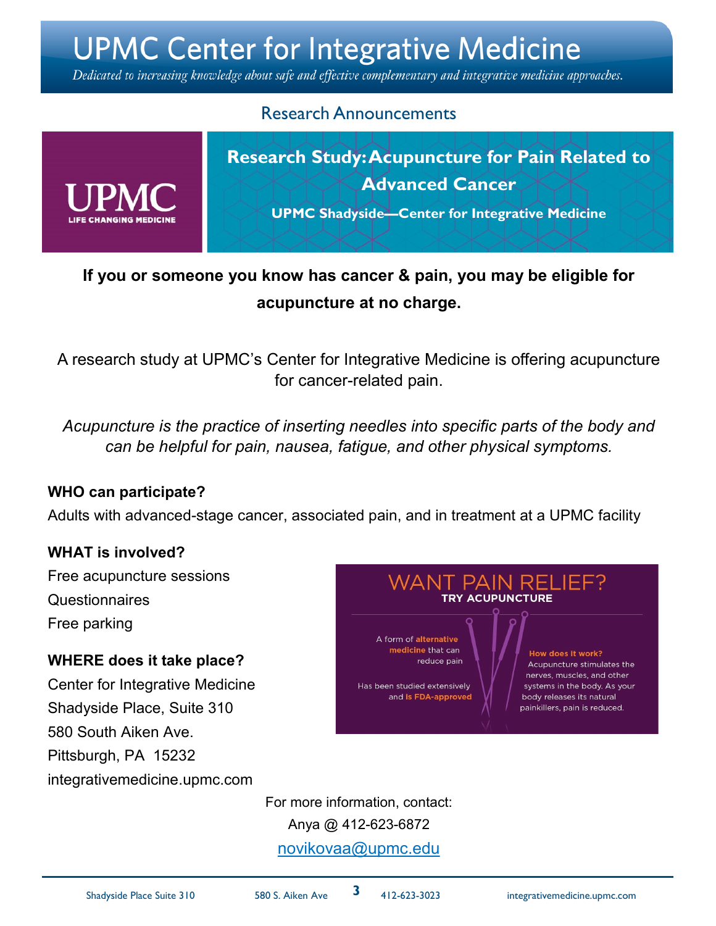Dedicated to increasing knowledge about safe and effective complementary and integrative medicine approaches.

### Research Announcements

**Research Study: Acupuncture for Pain Related to Advanced Cancer**

**UPMC Shadyside—Center for Integrative Medicine**

# **If you or someone you know has cancer & pain, you may be eligible for acupuncture at no charge.**

A research study at UPMC's Center for Integrative Medicine is offering acupuncture for cancer-related pain.

*Acupuncture is the practice of inserting needles into specific parts of the body and can be helpful for pain, nausea, fatigue, and other physical symptoms.*

#### **WHO can participate?**

Adults with advanced-stage cancer, associated pain, and in treatment at a UPMC facility

#### **WHAT is involved?**

Free acupuncture sessions **Questionnaires** Free parking

#### **WHERE does it take place?**

Center for Integrative Medicine Shadyside Place, Suite 310 580 South Aiken Ave. Pittsburgh, PA 15232 integrativemedicine.upmc.com



For more information, contact: Anya @ 412-623-6872 [novikovaa@upmc.edu](mailto:waltersoc@upmc.edu)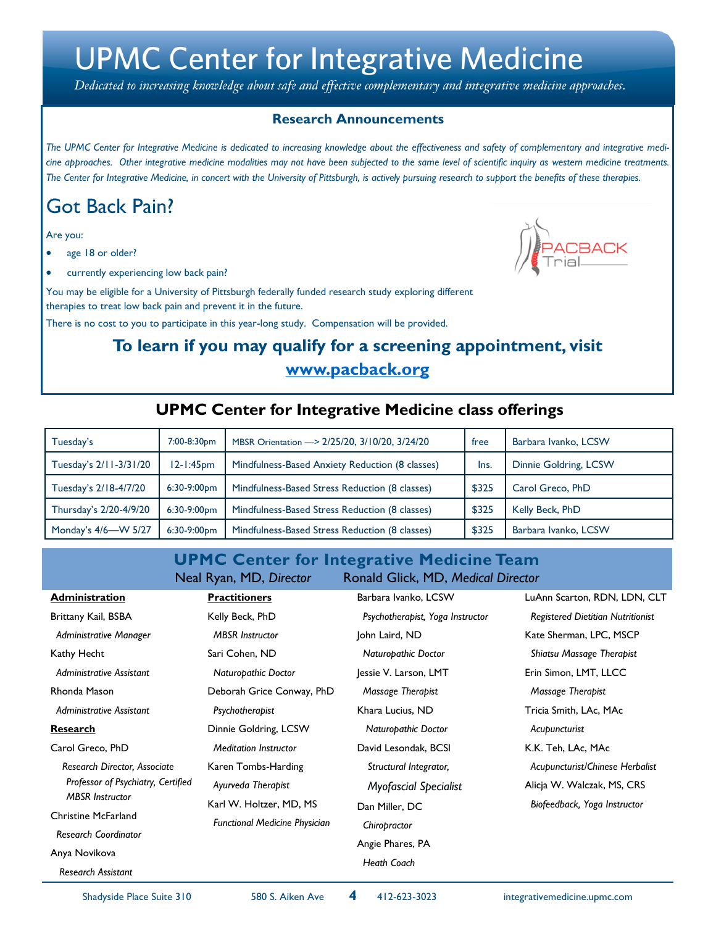Dedicated to increasing knowledge about safe and effective complementary and integrative medicine approaches.

#### **Research Announcements**

*The UPMC Center for Integrative Medicine is dedicated to increasing knowledge about the effectiveness and safety of complementary and integrative medicine approaches. Other integrative medicine modalities may not have been subjected to the same level of scientific inquiry as western medicine treatments. The Center for Integrative Medicine, in concert with the University of Pittsburgh, is actively pursuing research to support the benefits of these therapies.*

# Got Back Pain?

Are you:

- age 18 or older?
- currently experiencing low back pain?

You may be eligible for a University of Pittsburgh federally funded research study exploring different therapies to treat low back pain and prevent it in the future.

There is no cost to you to participate in this year-long study. Compensation will be provided.

# **To learn if you may qualify for a screening appointment, visit www.pacback.org**

### **UPMC Center for Integrative Medicine class offerings**

| Tuesday's              | 7:00-8:30pm    | MBSR Orientation - > 2/25/20, 3/10/20, 3/24/20  | free  | Barbara Ivanko, LCSW  |
|------------------------|----------------|-------------------------------------------------|-------|-----------------------|
| Tuesday's 2/11-3/31/20 | 12-1:45pm      | Mindfulness-Based Anxiety Reduction (8 classes) | Ins.  | Dinnie Goldring, LCSW |
| Tuesday's 2/18-4/7/20  | $6:30-9:00pm$  | Mindfulness-Based Stress Reduction (8 classes)  | \$325 | Carol Greco, PhD      |
| Thursday's 2/20-4/9/20 | 6:30-9:00pm    | Mindfulness-Based Stress Reduction (8 classes)  | \$325 | Kelly Beck, PhD       |
| Monday's 4/6-W 5/27    | $6:30-9:00$ pm | Mindfulness-Based Stress Reduction (8 classes)  | \$325 | Barbara Ivanko, LCSW  |

#### **UPMC Center for Integrative Medicine Team** Neal Ryan, MD, *Director* Ronald Glick, MD, *Medical Director*

| <b>Administration</b>                                                                        | <b>Practitioners</b>                                                 | Barbara Ivanko, LCSW                                                     | LuAnn Scarton, RDN, LDN, CLT                                                                  |  |
|----------------------------------------------------------------------------------------------|----------------------------------------------------------------------|--------------------------------------------------------------------------|-----------------------------------------------------------------------------------------------|--|
| Brittany Kail, BSBA                                                                          | Kelly Beck, PhD                                                      | Psychotherapist, Yoga Instructor                                         | <b>Registered Dietitian Nutritionist</b>                                                      |  |
| Administrative Manager                                                                       | <b>MBSR</b> Instructor                                               | John Laird, ND                                                           | Kate Sherman, LPC, MSCP                                                                       |  |
| Kathy Hecht                                                                                  | Sari Cohen, ND                                                       | Naturopathic Doctor                                                      | Shiatsu Massage Therapist                                                                     |  |
| Administrative Assistant                                                                     | Naturopathic Doctor                                                  | Jessie V. Larson, LMT                                                    | Erin Simon, LMT, LLCC                                                                         |  |
| Rhonda Mason                                                                                 | Deborah Grice Conway, PhD                                            | Massage Therapist                                                        | Massage Therapist                                                                             |  |
| Administrative Assistant                                                                     | Psychotherapist                                                      | Khara Lucius, ND                                                         | Tricia Smith, LAc, MAc                                                                        |  |
| <b>Research</b>                                                                              | Dinnie Goldring, LCSW                                                | Naturopathic Doctor                                                      | Acupuncturist                                                                                 |  |
| Carol Greco, PhD                                                                             | <b>Meditation Instructor</b>                                         | David Lesondak, BCSI                                                     | K.K. Teh, LAc, MAc                                                                            |  |
| Research Director, Associate<br>Professor of Psychiatry, Certified<br><b>MBSR</b> Instructor | Karen Tombs-Harding<br>Ayurveda Therapist<br>Karl W. Holtzer, MD, MS | Structural Integrator,<br><b>Myofascial Specialist</b><br>Dan Miller, DC | Acupuncturist/Chinese Herbalist<br>Alicja W. Walczak, MS, CRS<br>Biofeedback, Yoga Instructor |  |
| <b>Christine McFarland</b>                                                                   | <b>Functional Medicine Physician</b>                                 | Chiropractor                                                             |                                                                                               |  |
| <b>Research Coordinator</b>                                                                  |                                                                      | Angie Phares, PA                                                         |                                                                                               |  |
| Anya Novikova                                                                                |                                                                      | <b>Heath Coach</b>                                                       |                                                                                               |  |
| <b>Research Assistant</b>                                                                    |                                                                      |                                                                          |                                                                                               |  |

**4**